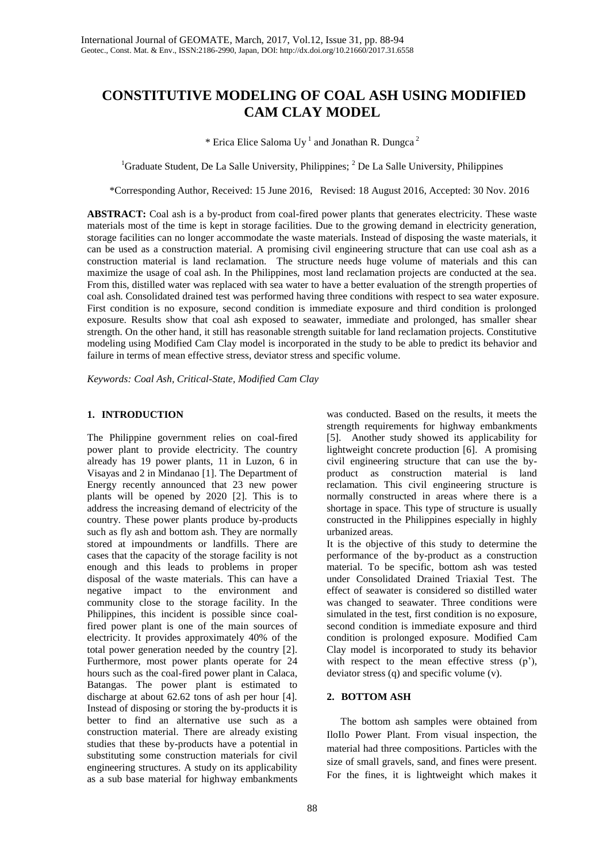# **CONSTITUTIVE MODELING OF COAL ASH USING MODIFIED CAM CLAY MODEL**

\* Erica Elice Saloma Uy<sup>1</sup> and Jonathan R. Dungca<sup>2</sup>

<sup>1</sup>Graduate Student, De La Salle University, Philippines;  ${}^{2}$  De La Salle University, Philippines

\*Corresponding Author, Received: 15 June 2016, Revised: 18 August 2016, Accepted: 30 Nov. 2016

ABSTRACT: Coal ash is a by-product from coal-fired power plants that generates electricity. These waste materials most of the time is kept in storage facilities. Due to the growing demand in electricity generation, storage facilities can no longer accommodate the waste materials. Instead of disposing the waste materials, it can be used as a construction material. A promising civil engineering structure that can use coal ash as a construction material is land reclamation. The structure needs huge volume of materials and this can maximize the usage of coal ash. In the Philippines, most land reclamation projects are conducted at the sea. From this, distilled water was replaced with sea water to have a better evaluation of the strength properties of coal ash. Consolidated drained test was performed having three conditions with respect to sea water exposure. First condition is no exposure, second condition is immediate exposure and third condition is prolonged exposure. Results show that coal ash exposed to seawater, immediate and prolonged, has smaller shear strength. On the other hand, it still has reasonable strength suitable for land reclamation projects. Constitutive modeling using Modified Cam Clay model is incorporated in the study to be able to predict its behavior and failure in terms of mean effective stress, deviator stress and specific volume.

*Keywords: Coal Ash, Critical-State, Modified Cam Clay*

## **1. INTRODUCTION**

The Philippine government relies on coal-fired power plant to provide electricity. The country already has 19 power plants, 11 in Luzon, 6 in Visayas and 2 in Mindanao [1]. The Department of Energy recently announced that 23 new power plants will be opened by 2020 [2]. This is to address the increasing demand of electricity of the country. These power plants produce by-products such as fly ash and bottom ash. They are normally stored at impoundments or landfills. There are cases that the capacity of the storage facility is not enough and this leads to problems in proper disposal of the waste materials. This can have a negative impact to the environment and community close to the storage facility. In the Philippines, this incident is possible since coalfired power plant is one of the main sources of electricity. It provides approximately 40% of the total power generation needed by the country [2]. Furthermore, most power plants operate for 24 hours such as the coal-fired power plant in Calaca, Batangas. The power plant is estimated to discharge at about 62.62 tons of ash per hour [4]. Instead of disposing or storing the by-products it is better to find an alternative use such as a construction material. There are already existing studies that these by-products have a potential in substituting some construction materials for civil engineering structures. A study on its applicability as a sub base material for highway embankments

was conducted. Based on the results, it meets the strength requirements for highway embankments [5]. Another study showed its applicability for lightweight concrete production [6]. A promising civil engineering structure that can use the byproduct as construction material is land reclamation. This civil engineering structure is normally constructed in areas where there is a shortage in space. This type of structure is usually constructed in the Philippines especially in highly urbanized areas.

It is the objective of this study to determine the performance of the by-product as a construction material. To be specific, bottom ash was tested under Consolidated Drained Triaxial Test. The effect of seawater is considered so distilled water was changed to seawater. Three conditions were simulated in the test, first condition is no exposure, second condition is immediate exposure and third condition is prolonged exposure. Modified Cam Clay model is incorporated to study its behavior with respect to the mean effective stress (p'), deviator stress (q) and specific volume (v).

## **2. BOTTOM ASH**

The bottom ash samples were obtained from IloIlo Power Plant. From visual inspection, the material had three compositions. Particles with the size of small gravels, sand, and fines were present. For the fines, it is lightweight which makes it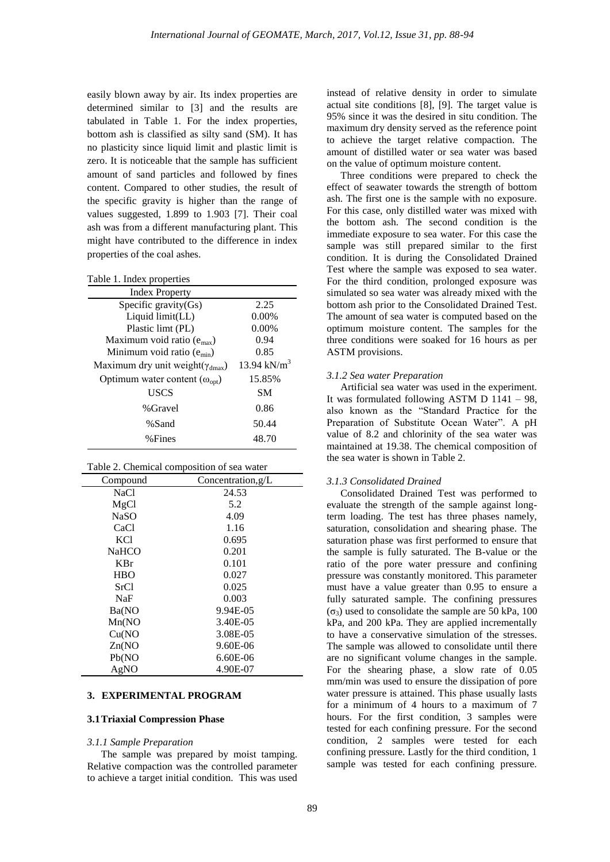easily blown away by air. Its index properties are determined similar to [3] and the results are tabulated in Table 1. For the index properties, bottom ash is classified as silty sand (SM). It has no plasticity since liquid limit and plastic limit is zero. It is noticeable that the sample has sufficient amount of sand particles and followed by fines content. Compared to other studies, the result of the specific gravity is higher than the range of values suggested, 1.899 to 1.903 [7]. Their coal ash was from a different manufacturing plant. This might have contributed to the difference in index properties of the coal ashes.

|  |  | Table 1. Index properties |
|--|--|---------------------------|
|--|--|---------------------------|

| <b>Index Property</b>                             |                         |
|---------------------------------------------------|-------------------------|
| Specific gravity(Gs)                              | 2.25                    |
| Liquid limit(LL)                                  | 0.00%                   |
| Plastic limt (PL)                                 | $0.00\%$                |
| Maximum void ratio $(e_{max})$                    | 0.94                    |
| Minimum void ratio $(e_{min})$                    | 0.85                    |
| Maximum dry unit weight( $\gamma_{\text{dmax}}$ ) | 13.94 kN/m <sup>3</sup> |
| Optimum water content $(\omega_{\text{opt}})$     | 15.85%                  |
| USCS                                              | <b>SM</b>               |
| %Gravel                                           | 0.86                    |
| %Sand                                             | 50.44                   |
| %Fines                                            | 48.70                   |

Table 2. Chemical composition of sea water

| Compound     | Concentration, $g/L$ |
|--------------|----------------------|
| NaCl         | 24.53                |
| MgCl         | 5.2                  |
| NaSO         | 4.09                 |
| CaCl         | 1.16                 |
| KC1          | 0.695                |
| <b>NaHCO</b> | 0.201                |
| <b>KBr</b>   | 0.101                |
| <b>HBO</b>   | 0.027                |
| <b>SrC1</b>  | 0.025                |
| <b>NaF</b>   | 0.003                |
| Ba(NO        | 9.94E-05             |
| Mn(NO)       | 3.40E-05             |
| Cu(NO)       | 3.08E-05             |
| Zn(NO)       | 9.60E-06             |
| Pb(NO        | $6.60E-06$           |
| AgNO         | 4.90E-07             |

## **3. EXPERIMENTAL PROGRAM**

### **3.1Triaxial Compression Phase**

#### *3.1.1 Sample Preparation*

The sample was prepared by moist tamping. Relative compaction was the controlled parameter to achieve a target initial condition. This was used instead of relative density in order to simulate actual site conditions [8], [9]. The target value is 95% since it was the desired in situ condition. The maximum dry density served as the reference point to achieve the target relative compaction. The amount of distilled water or sea water was based on the value of optimum moisture content.

Three conditions were prepared to check the effect of seawater towards the strength of bottom ash. The first one is the sample with no exposure. For this case, only distilled water was mixed with the bottom ash. The second condition is the immediate exposure to sea water. For this case the sample was still prepared similar to the first condition. It is during the Consolidated Drained Test where the sample was exposed to sea water. For the third condition, prolonged exposure was simulated so sea water was already mixed with the bottom ash prior to the Consolidated Drained Test. The amount of sea water is computed based on the optimum moisture content. The samples for the three conditions were soaked for 16 hours as per ASTM provisions.

#### *3.1.2 Sea water Preparation*

Artificial sea water was used in the experiment. It was formulated following ASTM D 1141 – 98, also known as the "Standard Practice for the Preparation of Substitute Ocean Water". A pH value of 8.2 and chlorinity of the sea water was maintained at 19.38. The chemical composition of the sea water is shown in Table 2.

## *3.1.3 Consolidated Drained*

Consolidated Drained Test was performed to evaluate the strength of the sample against longterm loading. The test has three phases namely, saturation, consolidation and shearing phase. The saturation phase was first performed to ensure that the sample is fully saturated. The B-value or the ratio of the pore water pressure and confining pressure was constantly monitored. This parameter must have a value greater than 0.95 to ensure a fully saturated sample. The confining pressures  $(\sigma_3)$  used to consolidate the sample are 50 kPa, 100 kPa, and 200 kPa. They are applied incrementally to have a conservative simulation of the stresses. The sample was allowed to consolidate until there are no significant volume changes in the sample. For the shearing phase, a slow rate of 0.05 mm/min was used to ensure the dissipation of pore water pressure is attained. This phase usually lasts for a minimum of 4 hours to a maximum of 7 hours. For the first condition, 3 samples were tested for each confining pressure. For the second condition, 2 samples were tested for each confining pressure. Lastly for the third condition, 1 sample was tested for each confining pressure.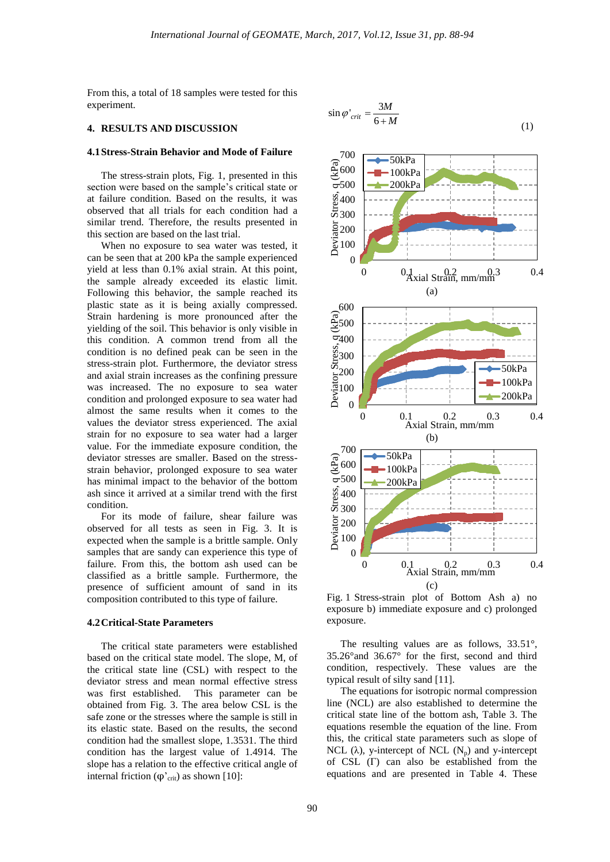$\sin \varphi'_{crit} = \frac{3}{6}$ 

 $\varphi'_{crit} = \frac{3M}{6+M}$ 

*M*

From this, a total of 18 samples were tested for this experiment.

## **4. RESULTS AND DISCUSSION**

#### **4.1Stress-Strain Behavior and Mode of Failure**

The stress-strain plots, Fig. 1, presented in this section were based on the sample's critical state or at failure condition. Based on the results, it was observed that all trials for each condition had a similar trend. Therefore, the results presented in this section are based on the last trial.

When no exposure to sea water was tested, it can be seen that at 200 kPa the sample experienced yield at less than 0.1% axial strain. At this point, the sample already exceeded its elastic limit. Following this behavior, the sample reached its plastic state as it is being axially compressed. Strain hardening is more pronounced after the yielding of the soil. This behavior is only visible in this condition. A common trend from all the condition is no defined peak can be seen in the stress-strain plot. Furthermore, the deviator stress and axial strain increases as the confining pressure was increased. The no exposure to sea water condition and prolonged exposure to sea water had almost the same results when it comes to the values the deviator stress experienced. The axial strain for no exposure to sea water had a larger value. For the immediate exposure condition, the deviator stresses are smaller. Based on the stressstrain behavior, prolonged exposure to sea water has minimal impact to the behavior of the bottom ash since it arrived at a similar trend with the first condition.

For its mode of failure, shear failure was observed for all tests as seen in Fig. 3. It is expected when the sample is a brittle sample. Only samples that are sandy can experience this type of failure. From this, the bottom ash used can be classified as a brittle sample. Furthermore, the presence of sufficient amount of sand in its composition contributed to this type of failure.

#### **4.2Critical-State Parameters**

The critical state parameters were established based on the critical state model. The slope, M, of the critical state line (CSL) with respect to the deviator stress and mean normal effective stress was first established. This parameter can be obtained from Fig. 3. The area below CSL is the safe zone or the stresses where the sample is still in its elastic state. Based on the results, the second condition had the smallest slope, 1.3531. The third condition has the largest value of 1.4914. The slope has a relation to the effective critical angle of internal friction ( $φ$ <sup>'</sup><sub>crit</sub>) as shown [10]:



(1)

Fig. 1 Stress-strain plot of Bottom Ash a) no exposure b) immediate exposure and c) prolonged exposure.

The resulting values are as follows, 33.51°, 35.26°and 36.67° for the first, second and third condition, respectively. These values are the typical result of silty sand [11].

The equations for isotropic normal compression line (NCL) are also established to determine the critical state line of the bottom ash, Table 3. The equations resemble the equation of the line. From this, the critical state parameters such as slope of NCL ( $\lambda$ ), y-intercept of NCL ( $N_p$ ) and y-intercept of CSL (Γ) can also be established from the equations and are presented in Table 4. These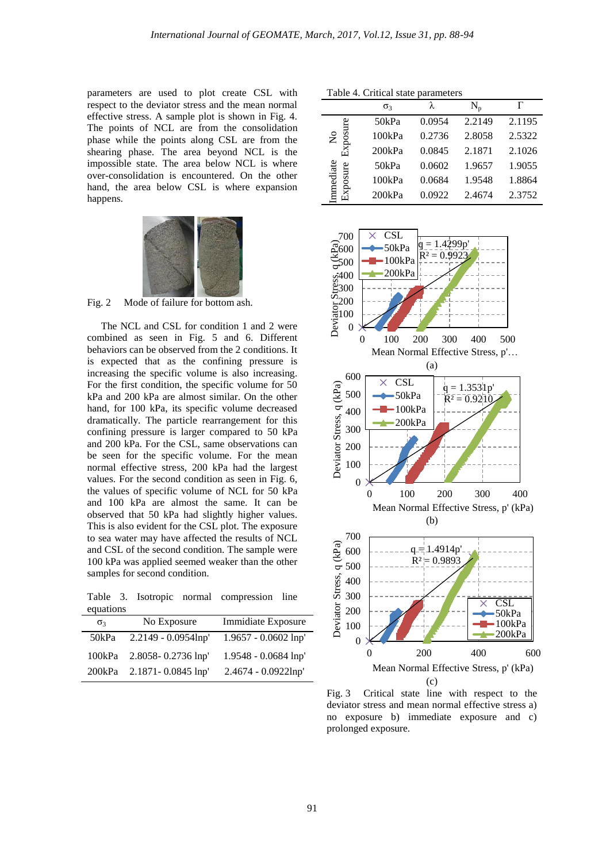parameters are used to plot create CSL with respect to the deviator stress and the mean normal effective stress. A sample plot is shown in Fig. 4. The points of NCL are from the consolidation phase while the points along CSL are from the shearing phase. The area beyond NCL is the impossible state. The area below NCL is where over-consolidation is encountered. On the other hand, the area below CSL is where expansion happens.



Fig. 2 Mode of failure for bottom ash.

The NCL and CSL for condition 1 and 2 were combined as seen in Fig. 5 and 6. Different behaviors can be observed from the 2 conditions. It is expected that as the confining pressure is increasing the specific volume is also increasing. For the first condition, the specific volume for 50 kPa and 200 kPa are almost similar. On the other hand, for 100 kPa, its specific volume decreased dramatically. The particle rearrangement for this confining pressure is larger compared to 50 kPa and 200 kPa. For the CSL, same observations can be seen for the specific volume. For the mean normal effective stress, 200 kPa had the largest values. For the second condition as seen in Fig. 6, the values of specific volume of NCL for 50 kPa and 100 kPa are almost the same. It can be observed that 50 kPa had slightly higher values. This is also evident for the CSL plot. The exposure to sea water may have affected the results of NCL and CSL of the second condition. The sample were 100 kPa was applied seemed weaker than the other samples for second condition.

Table 3. Isotropic normal compression line equations

| $\sigma$ | No Exposure            | Immidiate Exposure     |  |
|----------|------------------------|------------------------|--|
| 50kPa    | $2.2149 - 0.0954$ lnp' | $1.9657 - 0.0602$ lnp' |  |
| 100kPa   | $2.8058 - 0.2736$ lnp' | $1.9548 - 0.0684$ lnp' |  |
| 200kPa   | $2.1871 - 0.0845$ lnp' | 2.4674 - 0.0922lnp'    |  |

Table 4. Critical state parameters

|                      | $\sigma_3$ | λ      | $N_{n}$ |        |
|----------------------|------------|--------|---------|--------|
|                      | 50kPa      | 0.0954 | 2.2149  | 2.1195 |
| osure<br>$\tilde{z}$ | 100kPa     | 0.2736 | 2.8058  | 2.5322 |
| Ēхр                  | 200kPa     | 0.0845 | 2.1871  | 2.1026 |
| ediate<br>xposure    | 50kPa      | 0.0602 | 1.9657  | 1.9055 |
|                      | 100kPa     | 0.0684 | 1.9548  | 1.8864 |
|                      | 200kPa     | 0.0922 | 2.4674  | 2.3752 |



Fig. 3 Critical state line with respect to the deviator stress and mean normal effective stress a) no exposure b) immediate exposure and c) prolonged exposure.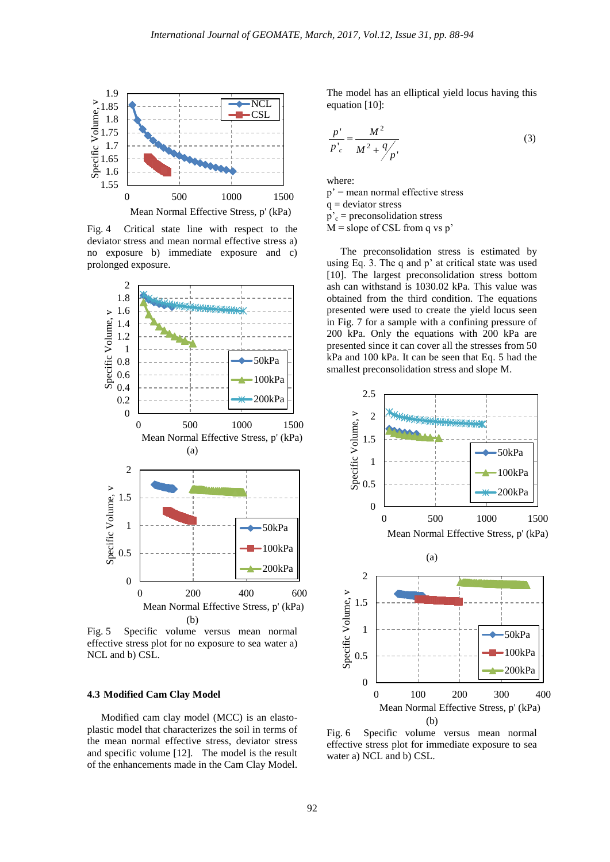

Fig. 4 Critical state line with respect to the deviator stress and mean normal effective stress a) no exposure b) immediate exposure and c) prolonged exposure.



Fig. 5 Specific volume versus mean normal effective stress plot for no exposure to sea water a) NCL and b) CSL.

#### **4.3 Modified Cam Clay Model**

Modified cam clay model (MCC) is an elastoplastic model that characterizes the soil in terms of the mean normal effective stress, deviator stress and specific volume [12]. The model is the result of the enhancements made in the Cam Clay Model. The model has an elliptical yield locus having this equation [10]:

$$
\frac{p'}{p'_c} = \frac{M^2}{M^2 + 9/p'}\tag{3}
$$

where:  $p'$  = mean normal effective stress  $q =$  deviator stress  $p'_{c}$  = preconsolidation stress  $M$  = slope of CSL from q vs p'

The preconsolidation stress is estimated by using Eq. 3. The q and p' at critical state was used [10]. The largest preconsolidation stress bottom ash can withstand is 1030.02 kPa. This value was obtained from the third condition. The equations presented were used to create the yield locus seen in Fig. 7 for a sample with a confining pressure of 200 kPa. Only the equations with 200 kPa are presented since it can cover all the stresses from 50 kPa and 100 kPa. It can be seen that Eq. 5 had the smallest preconsolidation stress and slope M.



Fig. 6 Specific volume versus mean normal effective stress plot for immediate exposure to sea water a) NCL and b) CSL.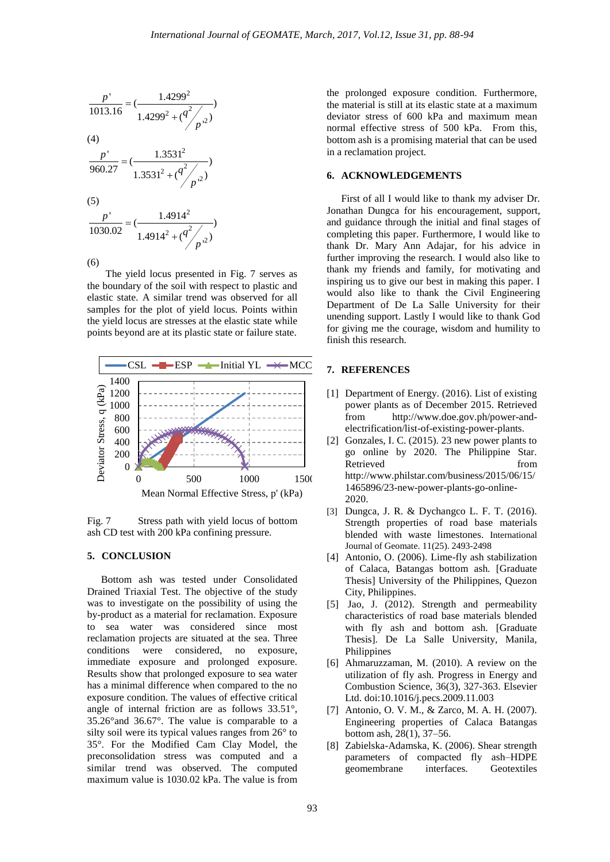

The yield locus presented in Fig. 7 serves as the boundary of the soil with respect to plastic and elastic state. A similar trend was observed for all samples for the plot of yield locus. Points within the yield locus are stresses at the elastic state while points beyond are at its plastic state or failure state.



Fig. 7 Stress path with yield locus of bottom ash CD test with 200 kPa confining pressure.

# **5. CONCLUSION**

Bottom ash was tested under Consolidated Drained Triaxial Test. The objective of the study was to investigate on the possibility of using the by-product as a material for reclamation. Exposure to sea water was considered since most reclamation projects are situated at the sea. Three conditions were considered, no exposure, immediate exposure and prolonged exposure. Results show that prolonged exposure to sea water has a minimal difference when compared to the no exposure condition. The values of effective critical angle of internal friction are as follows 33.51°, 35.26°and 36.67°. The value is comparable to a silty soil were its typical values ranges from 26° to 35°. For the Modified Cam Clay Model, the preconsolidation stress was computed and a similar trend was observed. The computed maximum value is 1030.02 kPa. The value is from

the prolonged exposure condition. Furthermore, the material is still at its elastic state at a maximum deviator stress of 600 kPa and maximum mean normal effective stress of 500 kPa. From this, bottom ash is a promising material that can be used in a reclamation project.

## **6. ACKNOWLEDGEMENTS**

First of all I would like to thank my adviser Dr. Jonathan Dungca for his encouragement, support, and guidance through the initial and final stages of completing this paper. Furthermore, I would like to thank Dr. Mary Ann Adajar, for his advice in further improving the research. I would also like to thank my friends and family, for motivating and inspiring us to give our best in making this paper. I would also like to thank the Civil Engineering Department of De La Salle University for their unending support. Lastly I would like to thank God for giving me the courage, wisdom and humility to finish this research.

#### **7. REFERENCES**

- [1] Department of Energy. (2016). List of existing power plants as of December 2015. Retrieved from [http://www.doe.gov.ph/power-and](http://www.doe.gov.ph/power-and-electrification/list-of-existing-power-plants)[electrification/list-of-existing-power-plants.](http://www.doe.gov.ph/power-and-electrification/list-of-existing-power-plants)
- [2] Gonzales, I. C. (2015). 23 new power plants to go online by 2020. The Philippine Star. Retrieved from [http://www.philstar.com/business/2015/06/15/](http://www.philstar.com/business/2015/06/15/1465896/23-new-power-plants-go-online-2020) [1465896/23-new-power-plants-go-online-](http://www.philstar.com/business/2015/06/15/1465896/23-new-power-plants-go-online-2020)[2020.](http://www.philstar.com/business/2015/06/15/1465896/23-new-power-plants-go-online-2020)
- [3] Dungca, J. R. & Dychangco L. F. T. (2016). Strength properties of road base materials blended with waste limestones. International Journal of Geomate. 11(25). 2493-2498
- [4] Antonio, O. (2006). Lime-fly ash stabilization of Calaca, Batangas bottom ash. [Graduate Thesis] University of the Philippines, Quezon City, Philippines.
- [5] Jao, J. (2012). Strength and permeability characteristics of road base materials blended with fly ash and bottom ash. [Graduate Thesis]. De La Salle University, Manila, Philippines
- [6] Ahmaruzzaman, M. (2010). A review on the utilization of fly ash. Progress in Energy and Combustion Science, 36(3), 327-363. Elsevier Ltd. doi:10.1016/j.pecs.2009.11.003
- [7] Antonio, O. V. M., & Zarco, M. A. H. (2007). Engineering properties of Calaca Batangas bottom ash, 28(1), 37–56.
- [8] Zabielska-Adamska, K. (2006). Shear strength parameters of compacted fly ash–HDPE geomembrane interfaces. Geotextiles